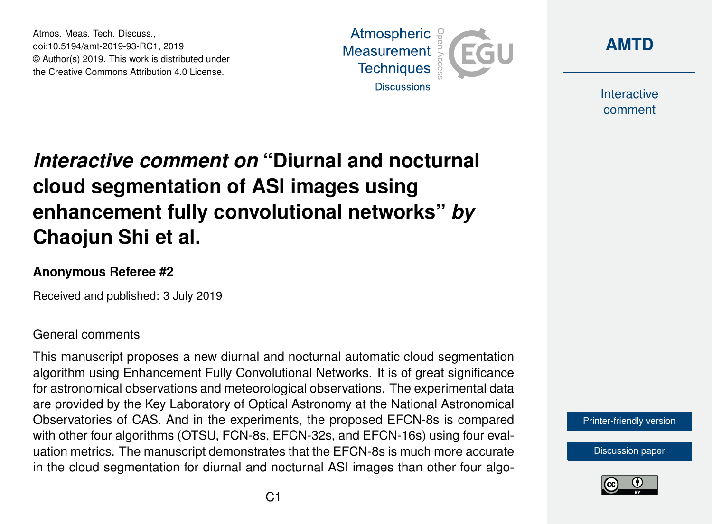Atmos. Meas. Tech. Discuss., doi:10.5194/amt-2019-93-RC1, 2019 © Author(s) 2019. This work is distributed under the Creative Commons Attribution 4.0 License.





Interactive comment

## *Interactive comment on* **"Diurnal and nocturnal cloud segmentation of ASI images using enhancement fully convolutional networks"** *by* **Chaojun Shi et al.**

## **Anonymous Referee #2**

Received and published: 3 July 2019

## General comments

This manuscript proposes a new diurnal and nocturnal automatic cloud segmentation algorithm using Enhancement Fully Convolutional Networks. It is of great significance for astronomical observations and meteorological observations. The experimental data are provided by the Key Laboratory of Optical Astronomy at the National Astronomical Observatories of CAS. And in the experiments, the proposed EFCN-8s is compared with other four algorithms (OTSU, FCN-8s, EFCN-32s, and EFCN-16s) using four evaluation metrics. The manuscript demonstrates that the EFCN-8s is much more accurate in the cloud segmentation for diurnal and nocturnal ASI images than other four algo-

[Printer-friendly version](https://www.atmos-meas-tech-discuss.net/amt-2019-93/amt-2019-93-RC1-print.pdf)

[Discussion paper](https://www.atmos-meas-tech-discuss.net/amt-2019-93)

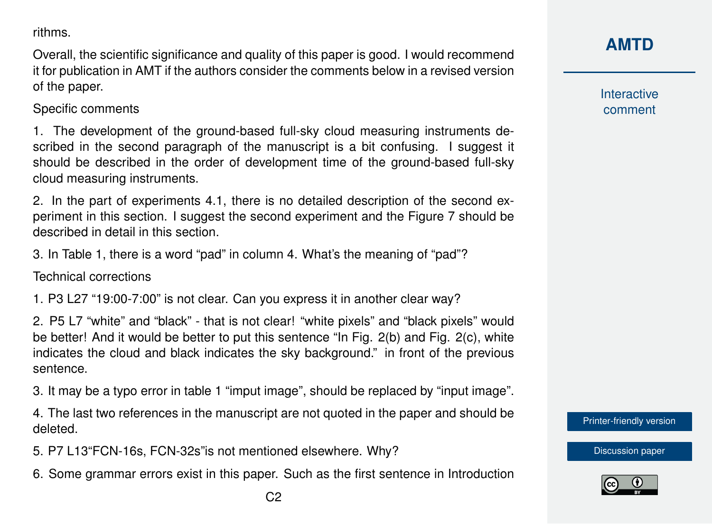rithms.

Overall, the scientific significance and quality of this paper is good. I would recommend it for publication in AMT if the authors consider the comments below in a revised version of the paper.

Specific comments

1. The development of the ground-based full-sky cloud measuring instruments described in the second paragraph of the manuscript is a bit confusing. I suggest it should be described in the order of development time of the ground-based full-sky cloud measuring instruments.

2. In the part of experiments 4.1, there is no detailed description of the second experiment in this section. I suggest the second experiment and the Figure 7 should be described in detail in this section.

3. In Table 1, there is a word "pad" in column 4. What's the meaning of "pad"?

Technical corrections

1. P3 L27 "19:00-7:00" is not clear. Can you express it in another clear way?

2. P5 L7 "white" and "black" - that is not clear! "white pixels" and "black pixels" would be better! And it would be better to put this sentence "In Fig. 2(b) and Fig. 2(c), white indicates the cloud and black indicates the sky background." in front of the previous sentence.

3. It may be a typo error in table 1 "imput image", should be replaced by "input image".

4. The last two references in the manuscript are not quoted in the paper and should be deleted.

5. P7 L13"FCN-16s, FCN-32s"is not mentioned elsewhere. Why?

6. Some grammar errors exist in this paper. Such as the first sentence in Introduction

**[AMTD](https://www.atmos-meas-tech-discuss.net/)**

Interactive comment

[Printer-friendly version](https://www.atmos-meas-tech-discuss.net/amt-2019-93/amt-2019-93-RC1-print.pdf)

[Discussion paper](https://www.atmos-meas-tech-discuss.net/amt-2019-93)